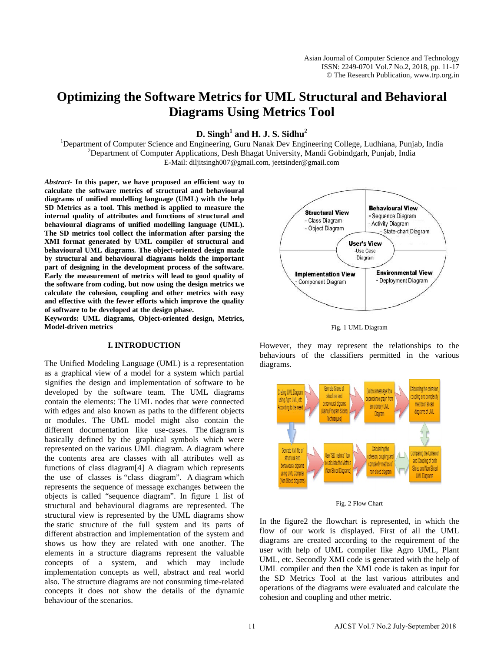# **Optimizing the Software Metrics for UML Structural and Behavioral Diagrams Using Metrics Tool**

 $D.$  Singh<sup>1</sup> and H. J. S. Sidhu<sup>2</sup>

<sup>1</sup>Department of Computer Science and Engineering, Guru Nanak Dev Engineering College, Ludhiana, Punjab, India <sup>2</sup><br><sup>2</sup>Department of Computer Applications, Desh Bhagat University, Mandi Gobindaarh, Punjab, India  $<sup>2</sup>$ Department of Computer Applications, Desh Bhagat University, Mandi Gobindgarh, Punjab, India</sup> E-Mail: diljitsingh007@gmail.com, jeetsinder@gmail.com

*Abstract***- In this paper, we have proposed an efficient way to calculate the software metrics of structural and behavioural diagrams of unified modelling language (UML) with the help SD Metrics as a tool. This method is applied to measure the internal quality of attributes and functions of structural and behavioural diagrams of unified modelling language (UML). The SD metrics tool collect the information after parsing the XMI format generated by UML compiler of structural and behavioural UML diagrams. The object-oriented design made by structural and behavioural diagrams holds the important part of designing in the development process of the software. Early the measurement of metrics will lead to good quality of the software from coding, but now using the design metrics we calculate the cohesion, coupling and other metrics with easy and effective with the fewer efforts which improve the quality of software to be developed at the design phase.**

**Keywords: UML diagrams, Object-oriented design, Metrics, Model-driven metrics**

#### **I. INTRODUCTION**

The Unified Modeling Language (UML) is a representation as a graphical view of a model for a system which partial signifies the design and implementation of software to be developed by the software team. The UML diagrams contain the elements: The UML nodes that were connected with edges and also known as paths to the different objects or modules. The UML model might also contain the different documentation like use-cases. The diagram is basically defined by the graphical symbols which were represented on the various UML diagram. A diagram where the contents area are classes with all attributes well as functions of class diagram[4] A diagram which represents the use of classes is "class diagram". A diagram which represents the sequence of message exchanges between the objects is called "sequence diagram". In figure 1 list of structural and behavioural diagrams are represented. The structural view is represented by the UML diagrams show the static structure of the full system and its parts of different abstraction and implementation of the system and shows us how they are related with one another. The elements in a structure diagrams represent the valuable concepts of a system, and which may include implementation concepts as well, abstract and real world also. The structure diagrams are not consuming time-related concepts it does not show the details of the dynamic behaviour of the scenarios.



Fig. 1 UML Diagram

However, they may represent the relationships to the behaviours of the classifiers permitted in the various diagrams.



Fig. 2 Flow Chart

In the figure2 the flowchart is represented, in which the flow of our work is displayed. First of all the UML diagrams are created according to the requirement of the user with help of UML compiler like Agro UML, Plant UML, etc. Secondly XMI code is generated with the help of UML compiler and then the XMI code is taken as input for the SD Metrics Tool at the last various attributes and operations of the diagrams were evaluated and calculate the cohesion and coupling and other metric.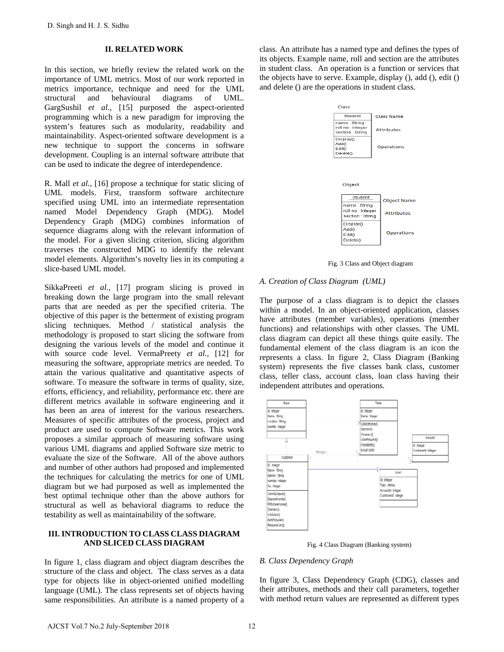#### **II. RELATED WORK**

In this section, we briefly review the related work on the importance of UML metrics. Most of our work reported in metrics importance, technique and need for the UML structural and behavioural diagrams of UML. GargSushil *et al.,* [15] purposed the aspect-oriented programming which is a new paradigm for improving the system's features such as modularity, readability and maintainability. Aspect-oriented software development is a new technique to support the concerns in software development. Coupling is an internal software attribute that can be used to indicate the degree of interdependence.

R. Mall *et al.,* [16] propose a technique for static slicing of UML models. First, transform software architecture specified using UML into an intermediate representation named Model Dependency Graph (MDG). Model Dependency Graph (MDG) combines information of sequence diagrams along with the relevant information of the model. For a given slicing criterion, slicing algorithm traverses the constructed MDG to identify the relevant model elements. Algorithm's novelty lies in its computing a slice-based UML model.

SikkaPreeti *et al.,* [17] program slicing is proved in breaking down the large program into the small relevant parts that are needed as per the specified criteria. The objective of this paper is the betterment of existing program slicing techniques. Method / statistical analysis the methodology is proposed to start slicing the software from designing the various levels of the model and continue it with source code level. VermaPreety *et al.,* [12] for measuring the software, appropriate metrics are needed. To attain the various qualitative and quantitative aspects of software. To measure the software in terms of quality, size, efforts, efficiency, and reliability, performance etc. there are different metrics available in software engineering and it has been an area of interest for the various researchers. Measures of specific attributes of the process, project and product are used to compute Software metrics. This work proposes a similar approach of measuring software using various UML diagrams and applied Software size metric to evaluate the size of the Software. All of the above authors and number of other authors had proposed and implemented the techniques for calculating the metrics for one of UML diagram but we had purposed as well as implemented the best optimal technique other than the above authors for structural as well as behavioral diagrams to reduce the testability as well as maintainability of the software. D. Singh and H. J. S. Sidhu<br>
II. RELATED WORK<br>
II. RELATED WORK<br>
II. RELATED WORK<br>
II. The restricted work on the sympatrian of UML metrics. More are the UML metrics of UML metrics More of the account of the control<br>
metri

# **III. INTRODUCTION TO CLASS CLASS DIAGRAM AND SLICED CLASS DIAGRAM**

In figure 1, class diagram and object diagram describes the structure of the class and object. The class serves as a data type for objects like in object-oriented unified modelling language (UML). The class represents set of objects having same responsibilities. An attribute is a named property of a

class. An attribute has a named type and defines the types of its objects. Example name, roll and section are the attributes in student class. An operation is a function or services that the objects have to serve. Example, display (), add (), edit () and delete () are the operations in student class.



Fig. 3 Class and Object diagram

#### *A. Creation of Class Diagram (UML)*

The purpose of a class diagram is to depict the classes within a model. In an object-oriented application, classes have attributes (member variables), operations (member functions) and relationships with other classes. The UML class diagram can depict all these things quite easily. The fundamental element of the class diagram is an icon the represents a class. In figure 2, Class Diagram (Banking system) represents the five classes bank class, customer class, teller class, account class, loan class having their independent attributes and operations.



Fig. 4 Class Diagram (Banking system)

#### *B. Class Dependency Graph*

In figure 3, Class Dependency Graph (CDG), classes and their attributes, methods and their call parameters, together with method return values are represented as different types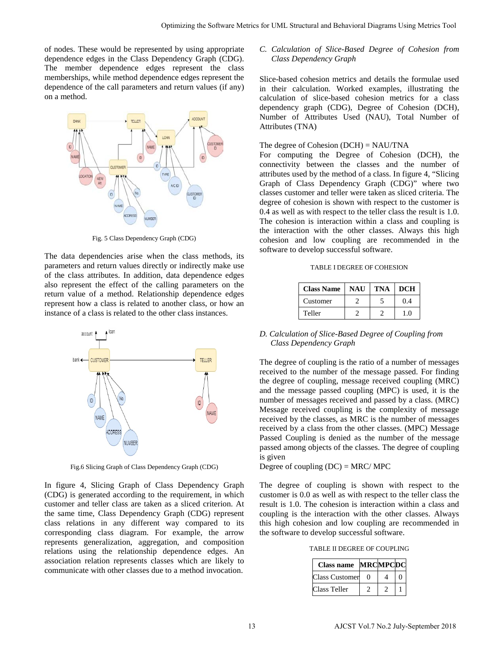of nodes. These would be represented by using appropriate dependence edges in the Class Dependency Graph (CDG). The member dependence edges represent the class memberships, while method dependence edges represent the dependence of the call parameters and return values (if any) on a method.



Fig. 5 Class Dependency Graph (CDG)

The data dependencies arise when the class methods, its parameters and return values directly or indirectly make use of the class attributes. In addition, data dependence edges also represent the effect of the calling parameters on the return value of a method. Relationship dependence edges represent how a class is related to another class, or how an instance of a class is related to the other class instances.



Fig.6 Slicing Graph of Class Dependency Graph (CDG)

In figure 4, Slicing Graph of Class Dependency Graph (CDG) is generated according to the requirement, in which customer and teller class are taken as a sliced criterion. At the same time, Class Dependency Graph (CDG) represent class relations in any different way compared to its corresponding class diagram. For example, the arrow represents generalization, aggregation, and composition relations using the relationship dependence edges. An association relation represents classes which are likely to communicate with other classes due to a method invocation.

# *C. Calculation of Slice-Based Degree of Cohesion from Class Dependency Graph*

Slice-based cohesion metrics and details the formulae used in their calculation. Worked examples, illustrating the calculation of slice-based cohesion metrics for a class dependency graph (CDG), Degree of Cohesion (DCH), Number of Attributes Used (NAU), Total Number of Attributes (TNA)

#### The degree of Cohesion (DCH) = NAU/TNA

For computing the Degree of Cohesion (DCH), the connectivity between the classes and the number of attributes used by the method of a class. In figure 4, "Slicing Graph of Class Dependency Graph (CDG)" where two classes customer and teller were taken as sliced criteria. The degree of cohesion is shown with respect to the customer is 0.4 as well as with respect to the teller class the result is 1.0. The cohesion is interaction within a class and coupling is the interaction with the other classes. Always this high cohesion and low coupling are recommended in the software to develop successful software.

| <b>Class Name</b> | NAU | TNA | <b>DCH</b> |
|-------------------|-----|-----|------------|
| Customer          |     |     | 0.4        |
| Teller            |     |     | 1 ()       |

# *D. Calculation of Slice-Based Degree of Coupling from Class Dependency Graph*

The degree of coupling is the ratio of a number of messages received to the number of the message passed. For finding the degree of coupling, message received coupling (MRC) and the message passed coupling (MPC) is used, it is the number of messages received and passed by a class. (MRC) Message received coupling is the complexity of message received by the classes, as MRC is the number of messages received by a class from the other classes. (MPC) Message Passed Coupling is denied as the number of the message passed among objects of the classes. The degree of coupling is given Optimizing parameteristics of Local Calcos (Schellation) (Schellation) (Schellation) (Schellation of Slice-Baute and calculation of the structural and the software and the software and calculation of the software Metrics

Degree of coupling  $(DC) = MRC/MPC$ 

The degree of coupling is shown with respect to the customer is 0.0 as well as with respect to the teller class the result is 1.0. The cohesion is interaction within a class and coupling is the interaction with the other classes. Always this high cohesion and low coupling are recommended in the software to develop successful software.

TABLE II DEGREE OF COUPLING

| Class name            | <b>MRCMPCDC</b> |  |
|-----------------------|-----------------|--|
| <b>Class Customer</b> |                 |  |
| Class Teller          |                 |  |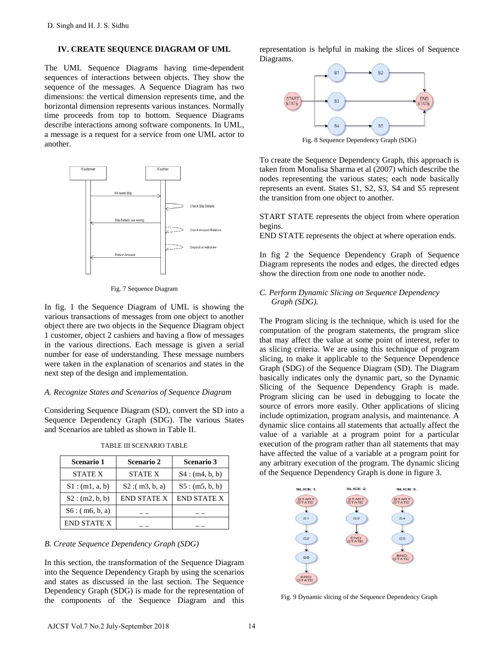#### **IV. CREATE SEQUENCE DIAGRAM OF UML**

The UML Sequence Diagrams having time-dependent sequences of interactions between objects. They show the sequence of the messages. A Sequence Diagram has two dimensions: the vertical dimension represents time, and the horizontal dimension represents various instances. Normally time proceeds from top to bottom. Sequence Diagrams describe interactions among software components. In UML, a message is a request for a service from one UML actor to another.



Fig. 7 Sequence Diagram

In fig. 1 the Sequence Diagram of UML is showing the various transactions of messages from one object to another object there are two objects in the Sequence Diagram object 1 customer, object 2 cashiers and having a flow of messages in the various directions. Each message is given a serial number for ease of understanding. These message numbers were taken in the explanation of scenarios and states in the next step of the design and implementation.

#### *A. Recognize States and Scenarios of Sequence Diagram*

Considering Sequence Diagram (SD), convert the SD into a Sequence Dependency Graph (SDG). The various States and Scenarios are tabled as shown in Table II.

| <b>Scenario 1</b>  | <b>Scenario 2</b>  | <b>Scenario 3</b>  |
|--------------------|--------------------|--------------------|
| <b>STATE X</b>     | <b>STATE X</b>     | S4: (m4, b, b)     |
| S1: (m1, a, b)     | S2: (m3, b, a)     | S5: (m5, b, b)     |
| S2: (m2, b, b)     | <b>END STATE X</b> | <b>END STATE X</b> |
| S6: (m6, b, a)     |                    |                    |
| <b>END STATE X</b> |                    |                    |

#### TABLE III SCENARIO TABLE

# *B. Create Sequence Dependency Graph (SDG)*

In this section, the transformation of the Sequence Diagram into the Sequence Dependency Graph by using the scenarios and states as discussed in the last section. The Sequence Dependency Graph (SDG) is made for the representation of the components of the Sequence Diagram and this

representation is helpful in making the slices of Sequence Diagrams.



Fig. 8 Sequence Dependency Graph (SDG)

To create the Sequence Dependency Graph, this approach is taken from Monalisa Sharma et al (2007) which describe the nodes representing the various states; each node basically represents an event. States S1, S2, S3, S4 and S5 represent the transition from one object to another.

START STATE represents the object from where operation begins.

END STATE represents the object at where operation ends.

In fig 2 the Sequence Dependency Graph of Sequence Diagram represents the nodes and edges, the directed edges show the direction from one node to another node.

# *C. Perform Dynamic Slicing on Sequence Dependency Graph (SDG).*

The Program slicing is the technique, which is used for the computation of the program statements, the program slice that may affect the value at some point of interest, refer to as slicing criteria. We are using this technique of program slicing, to make it applicable to the Sequence Dependence Graph (SDG) of the Sequence Diagram (SD). The Diagram basically indicates only the dynamic part, so the Dynamic Slicing of the Sequence Dependency Graph is made. Program slicing can be used in [debugging](http://en.wikipedia.org/wiki/Debugging) to locate the source of errors more easily. Other applications of slicing include [optimization,](http://en.wikipedia.org/wiki/Optimization_(computer_science)) [program analysis,](http://en.wikipedia.org/wiki/Program_analysis_(computer_science)) and maintenance. A dynamic slice contains all statements that actually affect the value of a variable at a program point for a particular execution of the program rather than all statements that may have affected the value of a variable at a program point for any arbitrary execution of the program. The dynamic slicing of the Sequence Dependency Graph is done in figure 3.



Fig. 9 Dynamic slicing of the Sequence Dependency Graph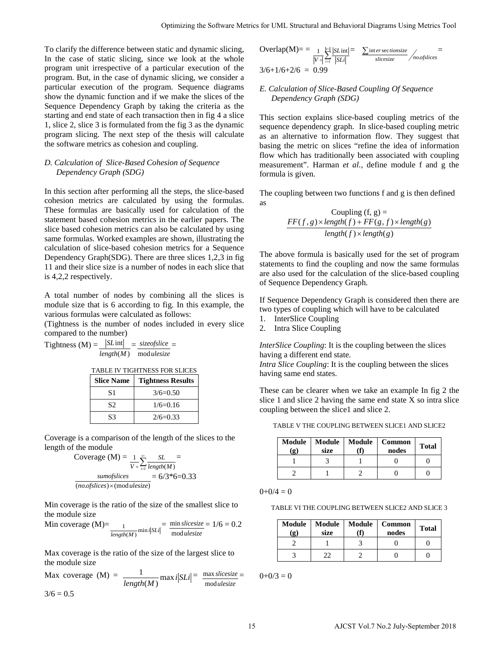To clarify the difference between static and dynamic slicing, In the case of static slicing, since we look at the whole program unit irrespective of a particular execution of the program. But, in the case of dynamic slicing, we consider a particular execution of the program. Sequence diagrams show the dynamic function and if we make the slices of the Sequence Dependency Graph by taking the criteria as the starting and end state of each transaction then in fig 4 a slice 1, slice 2, slice 3 is formulated from the fig 3 as the dynamic program slicing. The next step of the thesis will calculate the software metrics as cohesion and coupling.

# *D. Calculation of Slice-Based Cohesion of Sequence Dependency Graph (SDG)*

In this section after performing all the steps, the slice-based cohesion metrics are calculated by using the formulas. These formulas are basically used for calculation of the statement based cohesion metrics in the earlier papers. The slice based cohesion metrics can also be calculated by using same formulas. Worked examples are shown, illustrating the calculation of slice-based cohesion metrics for a Sequence Dependency Graph(SDG). There are three slices 1,2,3 in fig 11 and their slice size is a number of nodes in each slice that is 4,2,2 respectively.

A total number of nodes by combining all the slices is module size that is 6 according to fig. In this example, the various formulas were calculated as follows:

(Tightness is the number of nodes included in every slice compared to the number)

 $Tightness (M) = \frac{|SLint|}{ } = \frac{size of slice}{ } =$  $length(M)$  modulesize



| <b>Slice Name</b> | <b>Tightness Results</b> |
|-------------------|--------------------------|
| S1                | $3/6=0.50$               |
| S2                | $1/6=0.16$               |
| S3                | $2/6=0.33$               |

Coverage is a comparison of the length of the slices to the length of the module

$$
Coverage (M) = \frac{1}{V \circ} \sum_{i=1}^{V \circ} \frac{SL}{length(M)} = 6/3*6 = 0.33
$$
  
*umof slices* = 6/3\*6=0.33

Min coverage is the ratio of the size of the smallest slice to the module size

Min coverage (M)=
$$
\frac{1}{length(M)} min i|SLi| = \frac{min slice size}{mod ullesize} = 1/6 = 0.2
$$

Max coverage is the ratio of the size of the largest slice to the module size

Max coverage  $(M) = \frac{1}{length(M)} \max i | SLi|$  $\frac{1}{2}$  max is  $|SI_i|$  = *ulesize slicesize* mod  $\frac{max \, slicesize}{max}$  $3/6 = 0.5$ 

$$
\text{Overallap(M)} = \frac{1}{|V \circ |} \frac{|S\text{L}\text{int}|}{|S\text{L}i|} = \frac{\sum \text{int } \text{er} \text{ sectionsize}}{\text{slicesize}} / \text{noslices}
$$
\n
$$
3/6 + 1/6 + 2/6 = 0.99
$$

# *E. Calculation of Slice-Based Coupling Of Sequence Dependency Graph (SDG)*

This section explains slice-based coupling metrics of the sequence dependency graph. In slice-based coupling metric as an alternative to information flow. They suggest that basing the metric on slices "refine the idea of information flow which has traditionally been associated with coupling measurement". Harman *et al.,* define module f and g the formula is given. Optimizing the Saltoans Vietna, fir [Mf. Structural and Reboveral Diagrams Using Metrics Total<br>
are set and dynamic slines. Operating the Singlet of the Software Metrics receives the Software Metrics for Software Metrics

The coupling between two functions f and g is then defined as

\n Coupling 
$$
(f, g) =
$$
\n

\n\n $\text{FF}(f, g) \times \text{length}(f) + \text{FF}(g, f) \times \text{length}(g)$ \n

\n\n $\text{length}(f) \times \text{length}(g)$ \n

The above formula is basically used for the set of program statements to find the coupling and now the same formulas are also used for the calculation of the slice-based coupling of Sequence Dependency Graph.

If Sequence Dependency Graph is considered then there are two types of coupling which will have to be calculated

- 1. InterSlice Coupling
- 2. Intra Slice Coupling

*InterSlice Coupling*: It is the coupling between the slices having a different end state.

*Intra Slice Coupling*: It is the coupling between the slices having same end states.

These can be clearer when we take an example In fig 2 the slice 1 and slice 2 having the same end state X so intra slice coupling between the slice1 and slice 2.

TABLE V THE COUPLING BETWEEN SLICE1 AND SLICE2

| <b>Module</b><br>$\mathbf{g}$ | <b>Module</b><br>size | Module | Common<br>nodes | <b>Total</b> |
|-------------------------------|-----------------------|--------|-----------------|--------------|
|                               |                       |        |                 |              |
|                               |                       |        |                 |              |

 $0+0/4=0$ 

TABLE VI THE COUPLING BETWEEN SLICE2 AND SLICE 3

| Module<br>$\left( \mathbf{g}\right)$ | <b>Module</b><br>size | Module | <b>Common</b><br>nodes | <b>Total</b> |
|--------------------------------------|-----------------------|--------|------------------------|--------------|
|                                      |                       |        |                        |              |
|                                      |                       |        |                        |              |

 $0+0/3=0$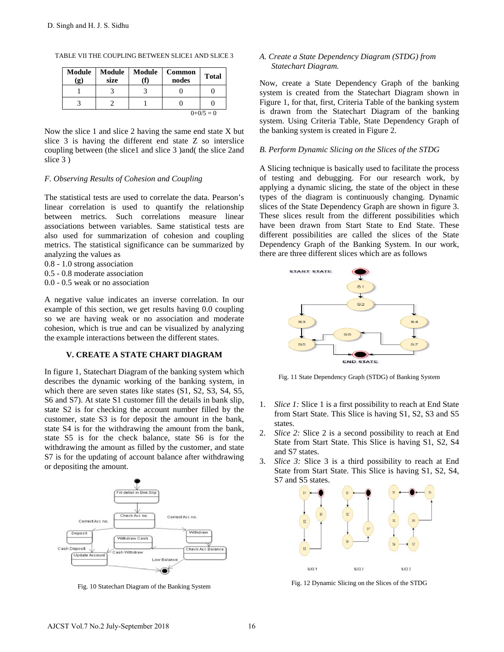| Module<br>$\left( \mathbf{g} \right)$ | Module<br>size | Module | Common<br>nodes | <b>Total</b> |
|---------------------------------------|----------------|--------|-----------------|--------------|
|                                       |                |        |                 |              |
|                                       |                |        |                 |              |
|                                       |                |        |                 | $0+0/5=0$    |

TABLE VII THE COUPLING BETWEEN SLICE1 AND SLICE 3

Now the slice 1 and slice 2 having the same end state X but slice 3 is having the different end state Z so interslice coupling between (the slice1 and slice 3 )and( the slice 2and slice 3 )

#### *F. Observing Results of Cohesion and Coupling*

The statistical tests are used to correlate the data. Pearson's linear correlation is used to quantify the relationship between metrics. Such correlations measure linear associations between variables. Same statistical tests are also used for summarization of cohesion and coupling metrics. The statistical significance can be summarized by analyzing the values as

- 0.8 1.0 strong association
- 0.5 0.8 moderate association
- 0.0 0.5 weak or no association

A negative value indicates an inverse correlation. In our example of this section, we get results having 0.0 coupling so we are having weak or no association and moderate cohesion, which is true and can be visualized by analyzing the example interactions between the different states.

# **V. CREATE A STATE CHART DIAGRAM**

In figure 1, Statechart Diagram of the banking system which describes the dynamic working of the banking system, in which there are seven states like states (S1, S2, S3, S4, S5, S6 and S7). At state S1 customer fill the details in bank slip, state S2 is for checking the account number filled by the customer, state S3 is for deposit the amount in the bank, state S4 is for the withdrawing the amount from the bank, state S5 is for the check balance, state S6 is for the withdrawing the amount as filled by the customer, and state S7 is for the updating of account balance after withdrawing or depositing the amount. D. Singh and H. J. S. Sidhu<br>
TABLE VII THIE COUPLING BETWEEN SLCCEI AND SLCCE 3<br> **Module Module Module Common Total**<br>  $\frac{(q)}{3}$  **are the coupling the same end state X** but<br>  $\frac{1}{3}$  **2 1 0 0 0**<br>  $\frac{1}{3}$  **2 1** 



Fig. 10 Statechart Diagram of the Banking System

# *A. Create a State Dependency Diagram (STDG) from Statechart Diagram.*

Now, create a State Dependency Graph of the banking system is created from the Statechart Diagram shown in Figure 1, for that, first, Criteria Table of the banking system is drawn from the Statechart Diagram of the banking system. Using Criteria Table, State Dependency Graph of the banking system is created in Figure 2.

#### *B. Perform Dynamic Slicing on the Slices of the STDG*

A Slicing technique is basically used to facilitate the process of testing and debugging. For our research work, by applying a dynamic slicing, the state of the object in these types of the diagram is continuously changing. Dynamic slices of the State Dependency Graph are shown in figure 3. These slices result from the different possibilities which have been drawn from Start State to End State. These different possibilities are called the slices of the State Dependency Graph of the Banking System. In our work, there are three different slices which are as follows



Fig. 11 State Dependency Graph (STDG) of Banking System

- 1. *Slice 1:* Slice 1 is a first possibility to reach at End State from Start State. This Slice is having S1, S2, S3 and S5 states.
- 2. *Slice 2:* Slice 2 is a second possibility to reach at End State from Start State. This Slice is having S1, S2, S4 and S7 states.
- 3. *Slice 3:* Slice 3 is a third possibility to reach at End State from Start State. This Slice is having S1, S2, S4, S7 and S5 states.



Fig. 12 Dynamic Slicing on the Slices of the STDG